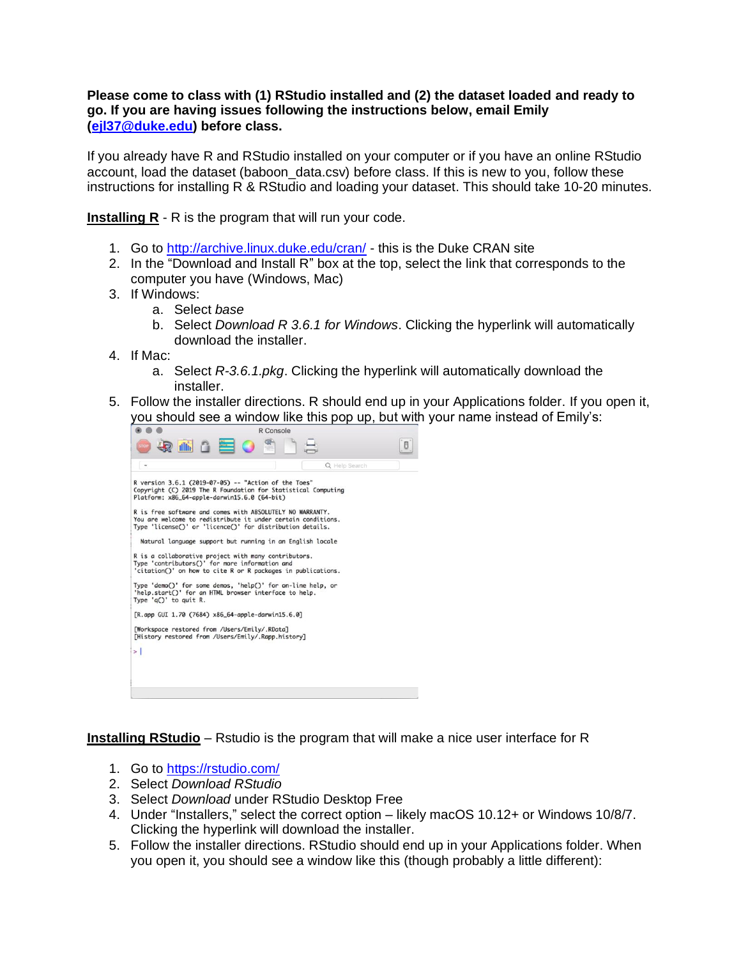## **Please come to class with (1) RStudio installed and (2) the dataset loaded and ready to go. If you are having issues following the instructions below, email Emily [\(ejl37@duke.edu\)](mailto:ejl37@duke.edu) before class.**

If you already have R and RStudio installed on your computer or if you have an online RStudio account, load the dataset (baboon\_data.csv) before class. If this is new to you, follow these instructions for installing R & RStudio and loading your dataset. This should take 10-20 minutes.

**Installing R** - R is the program that will run your code.

- 1. Go to<http://archive.linux.duke.edu/cran/> this is the Duke CRAN site
- 2. In the "Download and Install R" box at the top, select the link that corresponds to the computer you have (Windows, Mac)
- 3. If Windows:
	- a. Select *base*
	- b. Select *Download R 3.6.1 for Windows*. Clicking the hyperlink will automatically download the installer.
- 4. If Mac:
	- a. Select *R-3.6.1.pkg*. Clicking the hyperlink will automatically download the installer.
- 5. Follow the installer directions. R should end up in your Applications folder. If you open it, you should see a window like this pop up, but with your name instead of Emily's:



**Installing RStudio** – Rstudio is the program that will make a nice user interface for R

- 1. Go to<https://rstudio.com/>
- 2. Select *Download RStudio*
- 3. Select *Download* under RStudio Desktop Free
- 4. Under "Installers," select the correct option likely macOS 10.12+ or Windows 10/8/7. Clicking the hyperlink will download the installer.
- 5. Follow the installer directions. RStudio should end up in your Applications folder. When you open it, you should see a window like this (though probably a little different):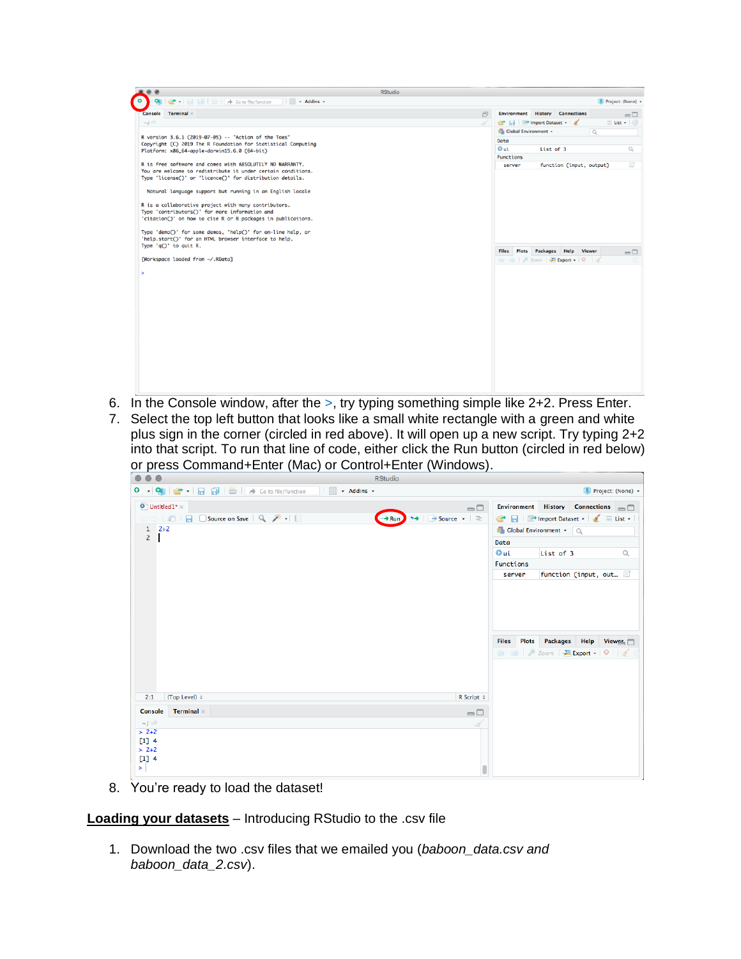| Go to file/function<br>- Addins -<br>œ<br><b>Environment History Connections</b><br>$\Box$<br>$-1$ $\otimes$<br>Import Dataset v<br>Î<br>Global Environment +<br>$\alpha$<br>R version 3.6.1 (2019-07-05) -- "Action of the Toes"<br>Data<br>Copyright (C) 2019 The R Foundation for Statistical Computing<br>0 ui<br>List of 3<br>Platform: x86_64-apple-darwin15.6.0 (64-bit)<br>Functions<br>R is free software and comes with ABSOLUTELY NO WARRANTY.<br>function (input, output)<br>server<br>You are welcome to redistribute it under certain conditions.<br>Type 'license()' or 'licence()' for distribution details.<br>Natural language support but running in an English locale<br>R is a collaborative project with many contributors.<br>Type 'contributors()' for more information and<br>'citation()' on how to cite R or R packages in publications.<br>Type 'demo()' for some demos, 'help()' for on-line help, or<br>'help.start()' for an HTML browser interface to help.<br>Type $'q()'$ to quit R.<br>Packages Help Viewer<br>Plots<br><b>Files</b><br>[Workspace loaded from ~/.RData]<br>○ ●   ● Zoom   <del>四</del> Export -   ◎   ■ | $\bullet$<br>$\circledcirc$<br><b>RStudio</b> |  |                                      |
|-------------------------------------------------------------------------------------------------------------------------------------------------------------------------------------------------------------------------------------------------------------------------------------------------------------------------------------------------------------------------------------------------------------------------------------------------------------------------------------------------------------------------------------------------------------------------------------------------------------------------------------------------------------------------------------------------------------------------------------------------------------------------------------------------------------------------------------------------------------------------------------------------------------------------------------------------------------------------------------------------------------------------------------------------------------------------------------------------------------------------------------------------------------|-----------------------------------------------|--|--------------------------------------|
|                                                                                                                                                                                                                                                                                                                                                                                                                                                                                                                                                                                                                                                                                                                                                                                                                                                                                                                                                                                                                                                                                                                                                             |                                               |  | R Project: (None) +                  |
|                                                                                                                                                                                                                                                                                                                                                                                                                                                                                                                                                                                                                                                                                                                                                                                                                                                                                                                                                                                                                                                                                                                                                             | Console Terminal x                            |  | $\Box$                               |
|                                                                                                                                                                                                                                                                                                                                                                                                                                                                                                                                                                                                                                                                                                                                                                                                                                                                                                                                                                                                                                                                                                                                                             |                                               |  | $\equiv$ List $\star$ $\mid$ $\odot$ |
|                                                                                                                                                                                                                                                                                                                                                                                                                                                                                                                                                                                                                                                                                                                                                                                                                                                                                                                                                                                                                                                                                                                                                             |                                               |  |                                      |
|                                                                                                                                                                                                                                                                                                                                                                                                                                                                                                                                                                                                                                                                                                                                                                                                                                                                                                                                                                                                                                                                                                                                                             |                                               |  |                                      |
|                                                                                                                                                                                                                                                                                                                                                                                                                                                                                                                                                                                                                                                                                                                                                                                                                                                                                                                                                                                                                                                                                                                                                             |                                               |  | $\mathcal{O}_k$                      |
|                                                                                                                                                                                                                                                                                                                                                                                                                                                                                                                                                                                                                                                                                                                                                                                                                                                                                                                                                                                                                                                                                                                                                             |                                               |  |                                      |
|                                                                                                                                                                                                                                                                                                                                                                                                                                                                                                                                                                                                                                                                                                                                                                                                                                                                                                                                                                                                                                                                                                                                                             |                                               |  | 国                                    |
|                                                                                                                                                                                                                                                                                                                                                                                                                                                                                                                                                                                                                                                                                                                                                                                                                                                                                                                                                                                                                                                                                                                                                             |                                               |  |                                      |
|                                                                                                                                                                                                                                                                                                                                                                                                                                                                                                                                                                                                                                                                                                                                                                                                                                                                                                                                                                                                                                                                                                                                                             |                                               |  |                                      |
|                                                                                                                                                                                                                                                                                                                                                                                                                                                                                                                                                                                                                                                                                                                                                                                                                                                                                                                                                                                                                                                                                                                                                             |                                               |  |                                      |
|                                                                                                                                                                                                                                                                                                                                                                                                                                                                                                                                                                                                                                                                                                                                                                                                                                                                                                                                                                                                                                                                                                                                                             |                                               |  |                                      |
|                                                                                                                                                                                                                                                                                                                                                                                                                                                                                                                                                                                                                                                                                                                                                                                                                                                                                                                                                                                                                                                                                                                                                             |                                               |  |                                      |
|                                                                                                                                                                                                                                                                                                                                                                                                                                                                                                                                                                                                                                                                                                                                                                                                                                                                                                                                                                                                                                                                                                                                                             |                                               |  |                                      |
|                                                                                                                                                                                                                                                                                                                                                                                                                                                                                                                                                                                                                                                                                                                                                                                                                                                                                                                                                                                                                                                                                                                                                             |                                               |  |                                      |
|                                                                                                                                                                                                                                                                                                                                                                                                                                                                                                                                                                                                                                                                                                                                                                                                                                                                                                                                                                                                                                                                                                                                                             |                                               |  |                                      |
|                                                                                                                                                                                                                                                                                                                                                                                                                                                                                                                                                                                                                                                                                                                                                                                                                                                                                                                                                                                                                                                                                                                                                             |                                               |  |                                      |
|                                                                                                                                                                                                                                                                                                                                                                                                                                                                                                                                                                                                                                                                                                                                                                                                                                                                                                                                                                                                                                                                                                                                                             |                                               |  | $\Box$                               |
|                                                                                                                                                                                                                                                                                                                                                                                                                                                                                                                                                                                                                                                                                                                                                                                                                                                                                                                                                                                                                                                                                                                                                             |                                               |  |                                      |
|                                                                                                                                                                                                                                                                                                                                                                                                                                                                                                                                                                                                                                                                                                                                                                                                                                                                                                                                                                                                                                                                                                                                                             |                                               |  |                                      |
|                                                                                                                                                                                                                                                                                                                                                                                                                                                                                                                                                                                                                                                                                                                                                                                                                                                                                                                                                                                                                                                                                                                                                             |                                               |  |                                      |
|                                                                                                                                                                                                                                                                                                                                                                                                                                                                                                                                                                                                                                                                                                                                                                                                                                                                                                                                                                                                                                                                                                                                                             |                                               |  |                                      |
|                                                                                                                                                                                                                                                                                                                                                                                                                                                                                                                                                                                                                                                                                                                                                                                                                                                                                                                                                                                                                                                                                                                                                             |                                               |  |                                      |
|                                                                                                                                                                                                                                                                                                                                                                                                                                                                                                                                                                                                                                                                                                                                                                                                                                                                                                                                                                                                                                                                                                                                                             |                                               |  |                                      |
|                                                                                                                                                                                                                                                                                                                                                                                                                                                                                                                                                                                                                                                                                                                                                                                                                                                                                                                                                                                                                                                                                                                                                             |                                               |  |                                      |
|                                                                                                                                                                                                                                                                                                                                                                                                                                                                                                                                                                                                                                                                                                                                                                                                                                                                                                                                                                                                                                                                                                                                                             |                                               |  |                                      |
|                                                                                                                                                                                                                                                                                                                                                                                                                                                                                                                                                                                                                                                                                                                                                                                                                                                                                                                                                                                                                                                                                                                                                             |                                               |  |                                      |
|                                                                                                                                                                                                                                                                                                                                                                                                                                                                                                                                                                                                                                                                                                                                                                                                                                                                                                                                                                                                                                                                                                                                                             |                                               |  |                                      |
|                                                                                                                                                                                                                                                                                                                                                                                                                                                                                                                                                                                                                                                                                                                                                                                                                                                                                                                                                                                                                                                                                                                                                             |                                               |  |                                      |
|                                                                                                                                                                                                                                                                                                                                                                                                                                                                                                                                                                                                                                                                                                                                                                                                                                                                                                                                                                                                                                                                                                                                                             |                                               |  |                                      |
|                                                                                                                                                                                                                                                                                                                                                                                                                                                                                                                                                                                                                                                                                                                                                                                                                                                                                                                                                                                                                                                                                                                                                             |                                               |  |                                      |
|                                                                                                                                                                                                                                                                                                                                                                                                                                                                                                                                                                                                                                                                                                                                                                                                                                                                                                                                                                                                                                                                                                                                                             |                                               |  |                                      |
|                                                                                                                                                                                                                                                                                                                                                                                                                                                                                                                                                                                                                                                                                                                                                                                                                                                                                                                                                                                                                                                                                                                                                             |                                               |  |                                      |

- 6. In the Console window, after the >, try typing something simple like 2+2. Press Enter.
- 7. Select the top left button that looks like a small white rectangle with a green and white plus sign in the corner (circled in red above). It will open up a new script. Try typing 2+2 into that script. To run that line of code, either click the Run button (circled in red below) or press Command+Enter (Mac) or Control+Enter (Windows).

| $\bullet\bullet\bullet$                         |                     | <b>RStudio</b>                                                                 |                                   |           |                            |                     |
|-------------------------------------------------|---------------------|--------------------------------------------------------------------------------|-----------------------------------|-----------|----------------------------|---------------------|
|                                                 | <b>B</b> - Addins - |                                                                                |                                   |           |                            | R Project: (None) + |
| $\bullet$ Untitled 1* $\times$                  |                     | $\Box$                                                                         | Environment History Connections - |           |                            |                     |
| (□□) a   日 □ Source on Save   Q, <i>米</i> -   □ |                     | $\rightarrow$ $\rightarrow$ Source $\rightarrow$ $\equiv$<br>$\rightarrow$ Run | → 日 nport Dataset - < 三 List -    |           |                            |                     |
| $1 \quad 2+2$                                   |                     |                                                                                | Global Environment v Q            |           |                            |                     |
| $\overline{2}$                                  |                     |                                                                                | Data                              |           |                            |                     |
|                                                 |                     |                                                                                | <b>Oui</b>                        | List of 3 |                            | $\alpha$            |
|                                                 |                     |                                                                                | Functions                         |           |                            |                     |
|                                                 |                     |                                                                                | server                            |           | function (input, out B     |                     |
| (Top Level) ≑<br>2:1                            |                     | R Script ≑                                                                     | <b>Files</b><br><b>Export - O</b> |           | Plots Packages Help Viewer |                     |
| <b>Terminal</b> $\times$<br><b>Console</b>      |                     | $\Box$                                                                         |                                   |           |                            |                     |
| $-1 \otimes$                                    |                     | -9                                                                             |                                   |           |                            |                     |
| $> 2+2$<br>$[1] 4$<br>$> 2+2$<br>$[1] 4$<br>≻⊹  |                     |                                                                                |                                   |           |                            |                     |

8. You're ready to load the dataset!

**Loading your datasets** – Introducing RStudio to the .csv file

1. Download the two .csv files that we emailed you (*baboon\_data.csv and baboon\_data\_2.csv*).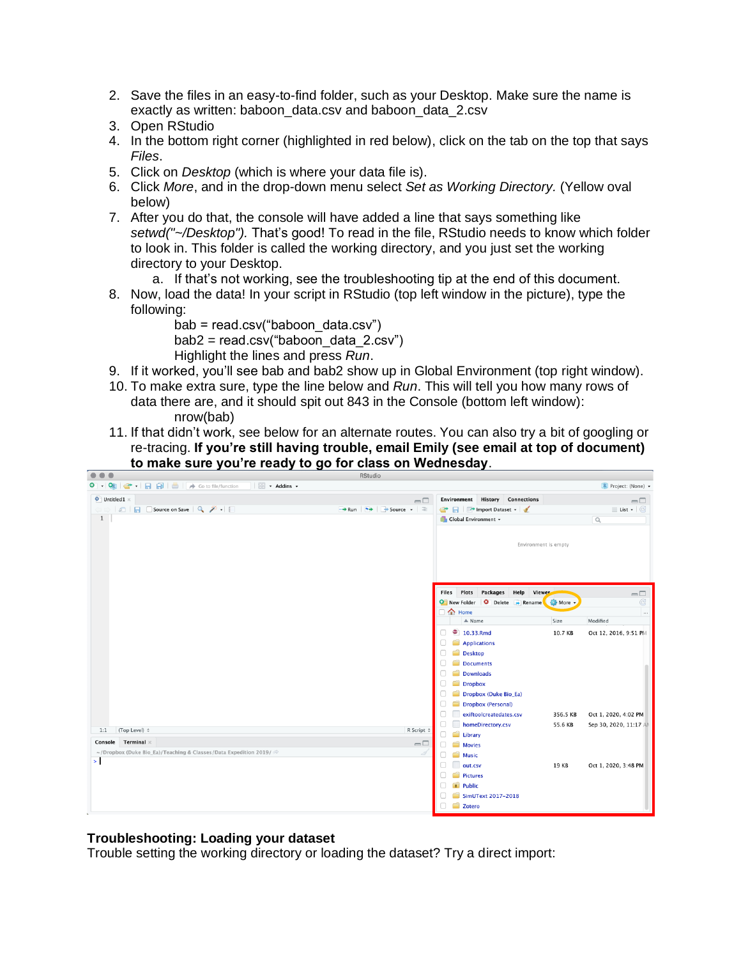- 2. Save the files in an easy-to-find folder, such as your Desktop. Make sure the name is exactly as written: baboon\_data.csv and baboon\_data\_2.csv
- 3. Open RStudio
- 4. In the bottom right corner (highlighted in red below), click on the tab on the top that says *Files*.
- 5. Click on *Desktop* (which is where your data file is).
- 6. Click *More*, and in the drop-down menu select *Set as Working Directory.* (Yellow oval below)
- 7. After you do that, the console will have added a line that says something like *setwd("~/Desktop").* That's good! To read in the file, RStudio needs to know which folder to look in. This folder is called the working directory, and you just set the working directory to your Desktop.
	- a. If that's not working, see the troubleshooting tip at the end of this document.
- 8. Now, load the data! In your script in RStudio (top left window in the picture), type the following:

bab = read.csv("baboon\_data.csv")  $bab2 = read.csv("baboon data 2.csv")$ Highlight the lines and press *Run*.

- 9. If it worked, you'll see bab and bab2 show up in Global Environment (top right window).
- 10. To make extra sure, type the line below and *Run*. This will tell you how many rows of data there are, and it should spit out 843 in the Console (bottom left window): nrow(bab)
- 11. If that didn't work, see below for an alternate routes. You can also try a bit of googling or re-tracing. **If you're still having trouble, email Emily (see email at top of document) to make sure you're ready to go for class on Wednesday**.



## **Troubleshooting: Loading your dataset**

Trouble setting the working directory or loading the dataset? Try a direct import: